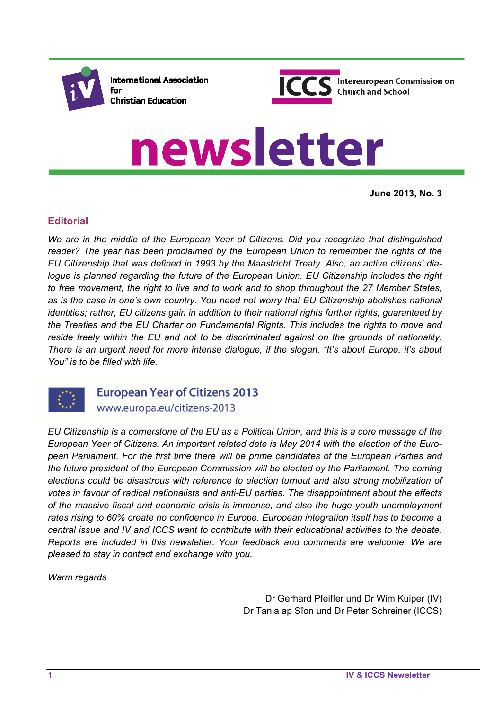

**International Association** for **Christian Education** 



# newsletter

**June 2013, No. 3**

## **Editorial**

*We are in the middle of the European Year of Citizens. Did you recognize that distinguished reader? The year has been proclaimed by the European Union to remember the rights of the EU Citizenship that was defined in 1993 by the Maastricht Treaty. Also, an active citizens' dialogue is planned regarding the future of the European Union. EU Citizenship includes the right to free movement, the right to live and to work and to shop throughout the 27 Member States, as is the case in one's own country. You need not worry that EU Citizenship abolishes national identities; rather, EU citizens gain in addition to their national rights further rights, guaranteed by the Treaties and the EU Charter on Fundamental Rights. This includes the rights to move and reside freely within the EU and not to be discriminated against on the grounds of nationality. There is an urgent need for more intense dialogue, if the slogan, "It's about Europe, it's about You" is to be filled with life.* 



**European Year of Citizens 2013** www.europa.eu/citizens-2013

*EU Citizenship is a cornerstone of the EU as a Political Union, and this is a core message of the European Year of Citizens. An important related date is May 2014 with the election of the European Parliament. For the first time there will be prime candidates of the European Parties and the future president of the European Commission will be elected by the Parliament. The coming elections could be disastrous with reference to election turnout and also strong mobilization of votes in favour of radical nationalists and anti-EU parties. The disappointment about the effects of the massive fiscal and economic crisis is immense, and also the huge youth unemployment rates rising to 60% create no confidence in Europe. European integration itself has to become a central issue and IV and ICCS want to contribute with their educational activities to the debate. Reports are included in this newsletter. Your feedback and comments are welcome. We are pleased to stay in contact and exchange with you.* 

*Warm regards* 

Dr Gerhard Pfeiffer und Dr Wim Kuiper (IV) Dr Tania ap Sîon und Dr Peter Schreiner (ICCS)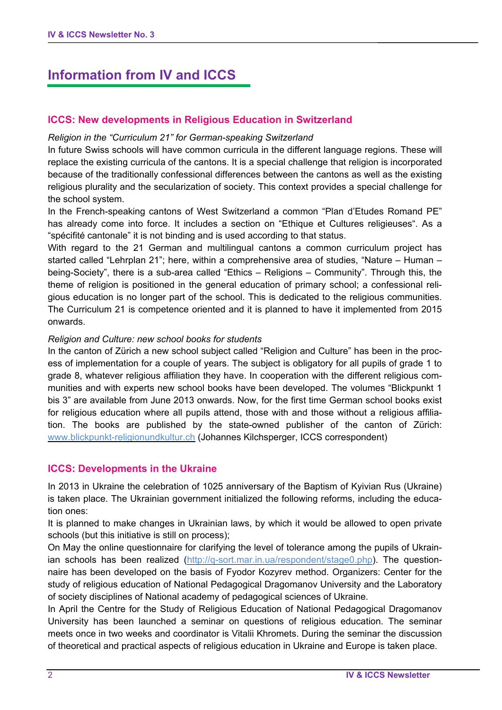# **Information from IV and ICCS**

#### **ICCS: New developments in Religious Education in Switzerland**

#### *Religion in the "Curriculum 21" for German-speaking Switzerland*

In future Swiss schools will have common curricula in the different language regions. These will replace the existing curricula of the cantons. It is a special challenge that religion is incorporated because of the traditionally confessional differences between the cantons as well as the existing religious plurality and the secularization of society. This context provides a special challenge for the school system.

In the French-speaking cantons of West Switzerland a common "Plan d'Etudes Romand PE" has already come into force. It includes a section on "Ethique et Cultures religieuses". As a "spécifité cantonale" it is not binding and is used according to that status.

With regard to the 21 German and multilingual cantons a common curriculum project has started called "Lehrplan 21"; here, within a comprehensive area of studies, "Nature – Human – being-Society", there is a sub-area called "Ethics – Religions – Community". Through this, the theme of religion is positioned in the general education of primary school; a confessional religious education is no longer part of the school. This is dedicated to the religious communities. The Curriculum 21 is competence oriented and it is planned to have it implemented from 2015 onwards.

#### *Religion and Culture: new school books for students*

In the canton of Zürich a new school subject called "Religion and Culture" has been in the process of implementation for a couple of years. The subject is obligatory for all pupils of grade 1 to grade 8, whatever religious affiliation they have. In cooperation with the different religious communities and with experts new school books have been developed. The volumes "Blickpunkt 1 bis 3" are available from June 2013 onwards. Now, for the first time German school books exist for religious education where all pupils attend, those with and those without a religious affiliation. The books are published by the state-owned publisher of the canton of Zürich: www.blickpunkt-religionundkultur.ch (Johannes Kilchsperger, ICCS correspondent)

#### **ICCS: Developments in the Ukraine**

In 2013 in Ukraine the celebration of 1025 anniversary of the Baptism of Kyivian Rus (Ukraine) is taken place. The Ukrainian government initialized the following reforms, including the education ones:

It is planned to make changes in Ukrainian laws, by which it would be allowed to open private schools (but this initiative is still on process);

On May the online questionnaire for clarifying the level of tolerance among the pupils of Ukrainian schools has been realized (http://q-sort.mar.in.ua/respondent/stage0.php). The questionnaire has been developed on the basis of Fyodor Kozyrev method. Organizers: Center for the study of religious education of National Pedagogical Dragomanov University and the Laboratory of society disciplines of National academy of pedagogical sciences of Ukraine.

In April the Centre for the Study of Religious Education of National Pedagogical Dragomanov University has been launched a seminar on questions of religious education. The seminar meets once in two weeks and coordinator is Vitalii Khromets. During the seminar the discussion of theoretical and practical aspects of religious education in Ukraine and Europe is taken place.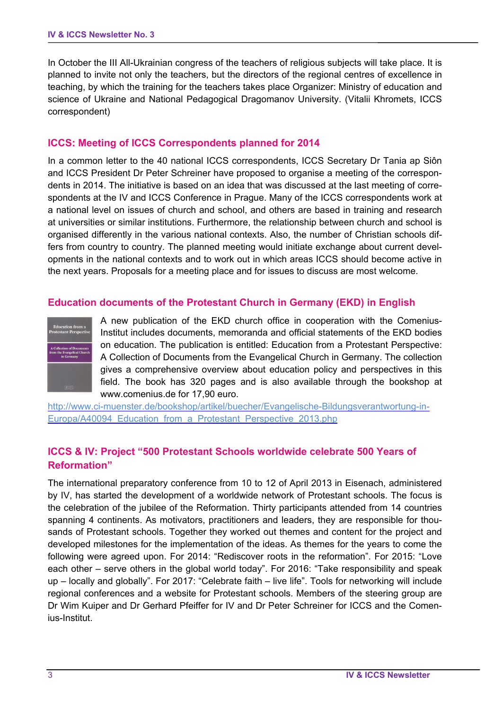In October the III All-Ukrainian congress of the teachers of religious subjects will take place. It is planned to invite not only the teachers, but the directors of the regional centres of excellence in teaching, by which the training for the teachers takes place Organizer: Ministry of education and science of Ukraine and National Pedagogical Dragomanov University. (Vitalii Khromets, ICCS correspondent)

#### **ICCS: Meeting of ICCS Correspondents planned for 2014**

In a common letter to the 40 national ICCS correspondents, ICCS Secretary Dr Tania ap Siôn and ICCS President Dr Peter Schreiner have proposed to organise a meeting of the correspondents in 2014. The initiative is based on an idea that was discussed at the last meeting of correspondents at the IV and ICCS Conference in Prague. Many of the ICCS correspondents work at a national level on issues of church and school, and others are based in training and research at universities or similar institutions. Furthermore, the relationship between church and school is organised differently in the various national contexts. Also, the number of Christian schools differs from country to country. The planned meeting would initiate exchange about current developments in the national contexts and to work out in which areas ICCS should become active in the next years. Proposals for a meeting place and for issues to discuss are most welcome.

#### **Education documents of the Protestant Church in Germany (EKD) in English**



A new publication of the EKD church office in cooperation with the Comenius-Institut includes documents, memoranda and official statements of the EKD bodies on education. The publication is entitled: Education from a Protestant Perspective: A Collection of Documents from the Evangelical Church in Germany. The collection gives a comprehensive overview about education policy and perspectives in this field. The book has 320 pages and is also available through the bookshop at www.comenius.de for 17,90 euro.

http://www.ci-muenster.de/bookshop/artikel/buecher/Evangelische-Bildungsverantwortung-in-Europa/A40094 Education from a Protestant Perspective 2013.php

#### **ICCS & IV: Project "500 Protestant Schools worldwide celebrate 500 Years of Reformation"**

The international preparatory conference from 10 to 12 of April 2013 in Eisenach, administered by IV, has started the development of a worldwide network of Protestant schools. The focus is the celebration of the jubilee of the Reformation. Thirty participants attended from 14 countries spanning 4 continents. As motivators, practitioners and leaders, they are responsible for thousands of Protestant schools. Together they worked out themes and content for the project and developed milestones for the implementation of the ideas. As themes for the years to come the following were agreed upon. For 2014: "Rediscover roots in the reformation". For 2015: "Love each other – serve others in the global world today". For 2016: "Take responsibility and speak up – locally and globally". For 2017: "Celebrate faith – live life". Tools for networking will include regional conferences and a website for Protestant schools. Members of the steering group are Dr Wim Kuiper and Dr Gerhard Pfeiffer for IV and Dr Peter Schreiner for ICCS and the Comenius-Institut.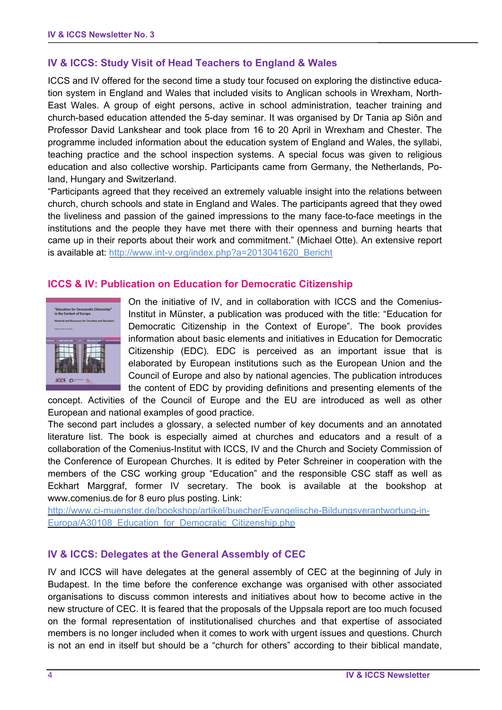## **IV & ICCS: Study Visit of Head Teachers to England & Wales**

ICCS and IV offered for the second time a study tour focused on exploring the distinctive education system in England and Wales that included visits to Anglican schools in Wrexham, North-East Wales. A group of eight persons, active in school administration, teacher training and church-based education attended the 5-day seminar. It was organised by Dr Tania ap Siôn and Professor David Lankshear and took place from 16 to 20 April in Wrexham and Chester. The programme included information about the education system of England and Wales, the syllabi, teaching practice and the school inspection systems. A special focus was given to religious education and also collective worship. Participants came from Germany, the Netherlands, Poland, Hungary and Switzerland.

"Participants agreed that they received an extremely valuable insight into the relations between church, church schools and state in England and Wales. The participants agreed that they owed the liveliness and passion of the gained impressions to the many face-to-face meetings in the institutions and the people they have met there with their openness and burning hearts that came up in their reports about their work and commitment." (Michael Otte). An extensive report is available at: http://www.int-v.org/index.php?a=2013041620\_Bericht

#### **ICCS & IV: Publication on Education for Democratic Citizenship**



On the initiative of IV, and in collaboration with ICCS and the Comenius-Institut in Münster, a publication was produced with the title: "Education for Democratic Citizenship in the Context of Europe". The book provides information about basic elements and initiatives in Education for Democratic Citizenship (EDC). EDC is perceived as an important issue that is elaborated by European institutions such as the European Union and the Council of Europe and also by national agencies. The publication introduces the content of EDC by providing definitions and presenting elements of the

concept. Activities of the Council of Europe and the EU are introduced as well as other European and national examples of good practice.

The second part includes a glossary, a selected number of key documents and an annotated literature list. The book is especially aimed at churches and educators and a result of a collaboration of the Comenius-Institut with ICCS, IV and the Church and Society Commission of the Conference of European Churches. It is edited by Peter Schreiner in cooperation with the members of the CSC working group "Education" and the responsible CSC staff as well as Eckhart Marggraf, former IV secretary. The book is available at the bookshop at www.comenius.de for 8 euro plus posting. Link:

http://www.ci-muenster.de/bookshop/artikel/buecher/Evangelische-Bildungsverantwortung-in-Europa/A30108 Education for Democratic Citizenship.php

#### **IV & ICCS: Delegates at the General Assembly of CEC**

IV and ICCS will have delegates at the general assembly of CEC at the beginning of July in Budapest. In the time before the conference exchange was organised with other associated organisations to discuss common interests and initiatives about how to become active in the new structure of CEC. It is feared that the proposals of the Uppsala report are too much focused on the formal representation of institutionalised churches and that expertise of associated members is no longer included when it comes to work with urgent issues and questions. Church is not an end in itself but should be a "church for others" according to their biblical mandate,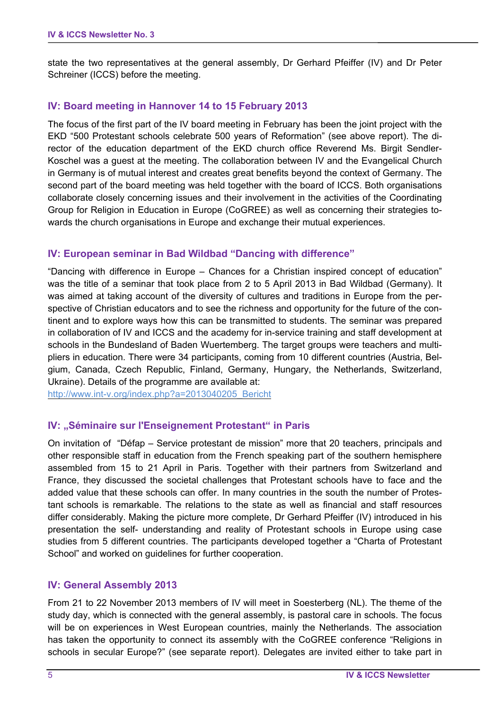state the two representatives at the general assembly, Dr Gerhard Pfeiffer (IV) and Dr Peter Schreiner (ICCS) before the meeting.

#### **IV: Board meeting in Hannover 14 to 15 February 2013**

The focus of the first part of the IV board meeting in February has been the joint project with the EKD "500 Protestant schools celebrate 500 years of Reformation" (see above report). The director of the education department of the EKD church office Reverend Ms. Birgit Sendler-Koschel was a guest at the meeting. The collaboration between IV and the Evangelical Church in Germany is of mutual interest and creates great benefits beyond the context of Germany. The second part of the board meeting was held together with the board of ICCS. Both organisations collaborate closely concerning issues and their involvement in the activities of the Coordinating Group for Religion in Education in Europe (CoGREE) as well as concerning their strategies towards the church organisations in Europe and exchange their mutual experiences.

#### **IV: European seminar in Bad Wildbad "Dancing with difference"**

"Dancing with difference in Europe – Chances for a Christian inspired concept of education" was the title of a seminar that took place from 2 to 5 April 2013 in Bad Wildbad (Germany). It was aimed at taking account of the diversity of cultures and traditions in Europe from the perspective of Christian educators and to see the richness and opportunity for the future of the continent and to explore ways how this can be transmitted to students. The seminar was prepared in collaboration of IV and ICCS and the academy for in-service training and staff development at schools in the Bundesland of Baden Wuertemberg. The target groups were teachers and multipliers in education. There were 34 participants, coming from 10 different countries (Austria, Belgium, Canada, Czech Republic, Finland, Germany, Hungary, the Netherlands, Switzerland, Ukraine). Details of the programme are available at:

http://www.int-v.org/index.php?a=2013040205\_Bericht

#### **IV: "Séminaire sur l'Enseignement Protestant" in Paris**

On invitation of "Défap – Service protestant de mission" more that 20 teachers, principals and other responsible staff in education from the French speaking part of the southern hemisphere assembled from 15 to 21 April in Paris. Together with their partners from Switzerland and France, they discussed the societal challenges that Protestant schools have to face and the added value that these schools can offer. In many countries in the south the number of Protestant schools is remarkable. The relations to the state as well as financial and staff resources differ considerably. Making the picture more complete, Dr Gerhard Pfeiffer (IV) introduced in his presentation the self- understanding and reality of Protestant schools in Europe using case studies from 5 different countries. The participants developed together a "Charta of Protestant School" and worked on guidelines for further cooperation.

#### **IV: General Assembly 2013**

From 21 to 22 November 2013 members of IV will meet in Soesterberg (NL). The theme of the study day, which is connected with the general assembly, is pastoral care in schools. The focus will be on experiences in West European countries, mainly the Netherlands. The association has taken the opportunity to connect its assembly with the CoGREE conference "Religions in schools in secular Europe?" (see separate report). Delegates are invited either to take part in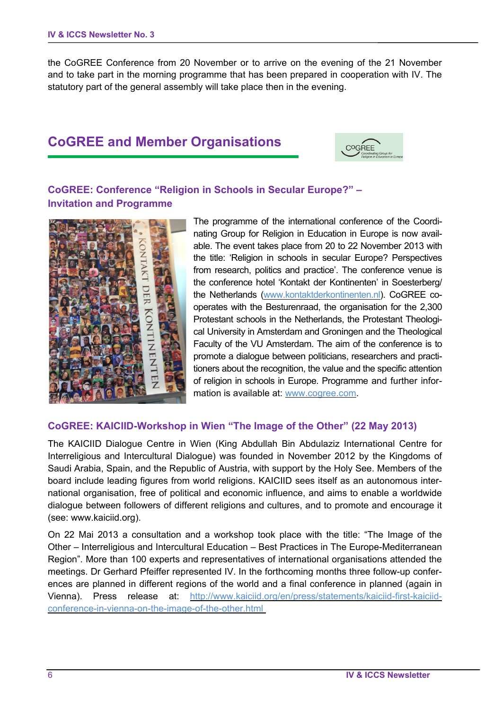the CoGREE Conference from 20 November or to arrive on the evening of the 21 November and to take part in the morning programme that has been prepared in cooperation with IV. The statutory part of the general assembly will take place then in the evening.

# **CoGREE and Member Organisations**



# **CoGREE: Conference "Religion in Schools in Secular Europe?" – Invitation and Programme**



The programme of the international conference of the Coordinating Group for Religion in Education in Europe is now available. The event takes place from 20 to 22 November 2013 with the title: 'Religion in schools in secular Europe? Perspectives from research, politics and practice'. The conference venue is the conference hotel 'Kontakt der Kontinenten' in Soesterberg/ the Netherlands (www.kontaktderkontinenten.nl). CoGREE cooperates with the Besturenraad, the organisation for the 2,300 Protestant schools in the Netherlands, the Protestant Theological University in Amsterdam and Groningen and the Theological Faculty of the VU Amsterdam. The aim of the conference is to promote a dialogue between politicians, researchers and practitioners about the recognition, the value and the specific attention of religion in schools in Europe. Programme and further information is available at: www.cogree.com.

## **CoGREE: KAICIID-Workshop in Wien "The Image of the Other" (22 May 2013)**

The KAICIID Dialogue Centre in Wien (King Abdullah Bin Abdulaziz International Centre for Interreligious and Intercultural Dialogue) was founded in November 2012 by the Kingdoms of Saudi Arabia, Spain, and the Republic of Austria, with support by the Holy See. Members of the board include leading figures from world religions. KAICIID sees itself as an autonomous international organisation, free of political and economic influence, and aims to enable a worldwide dialogue between followers of different religions and cultures, and to promote and encourage it (see: www.kaiciid.org).

On 22 Mai 2013 a consultation and a workshop took place with the title: "The Image of the Other – Interreligious and Intercultural Education – Best Practices in The Europe-Mediterranean Region". More than 100 experts and representatives of international organisations attended the meetings. Dr Gerhard Pfeiffer represented IV. In the forthcoming months three follow-up conferences are planned in different regions of the world and a final conference in planned (again in Vienna). Press release at: http://www.kaiciid.org/en/press/statements/kaiciid-first-kaiciidconference-in-vienna-on-the-image-of-the-other.html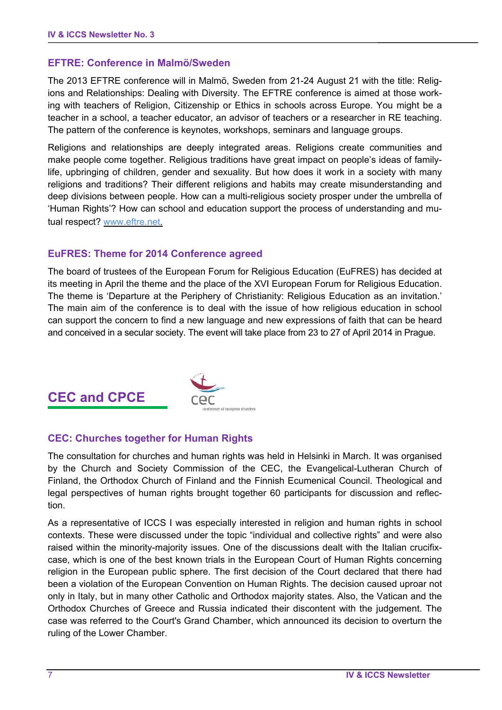#### **EFTRE: Conference in Malmö/Sweden**

The 2013 EFTRE conference will in Malmö, Sweden from 21-24 August 21 with the title: Religions and Relationships: Dealing with Diversity. The EFTRE conference is aimed at those working with teachers of Religion, Citizenship or Ethics in schools across Europe. You might be a teacher in a school, a teacher educator, an advisor of teachers or a researcher in RE teaching. The pattern of the conference is keynotes, workshops, seminars and language groups.

Religions and relationships are deeply integrated areas. Religions create communities and make people come together. Religious traditions have great impact on people's ideas of familylife, upbringing of children, gender and sexuality. But how does it work in a society with many religions and traditions? Their different religions and habits may create misunderstanding and deep divisions between people. How can a multi-religious society prosper under the umbrella of 'Human Rights'? How can school and education support the process of understanding and mutual respect? www.eftre.net.

## **EuFRES: Theme for 2014 Conference agreed**

The board of trustees of the European Forum for Religious Education (EuFRES) has decided at its meeting in April the theme and the place of the XVI European Forum for Religious Education. The theme is 'Departure at the Periphery of Christianity: Religious Education as an invitation.' The main aim of the conference is to deal with the issue of how religious education in school can support the concern to find a new language and new expressions of faith that can be heard and conceived in a secular society. The event will take place from 23 to 27 of April 2014 in Prague.

# **CEC and CPCE**



# **CEC: Churches together for Human Rights**

The consultation for churches and human rights was held in Helsinki in March. It was organised by the Church and Society Commission of the CEC, the Evangelical-Lutheran Church of Finland, the Orthodox Church of Finland and the Finnish Ecumenical Council. Theological and legal perspectives of human rights brought together 60 participants for discussion and reflection.

As a representative of ICCS I was especially interested in religion and human rights in school contexts. These were discussed under the topic "individual and collective rights" and were also raised within the minority-majority issues. One of the discussions dealt with the Italian crucifixcase, which is one of the best known trials in the European Court of Human Rights concerning religion in the European public sphere. The first decision of the Court declared that there had been a violation of the European Convention on Human Rights. The decision caused uproar not only in Italy, but in many other Catholic and Orthodox majority states. Also, the Vatican and the Orthodox Churches of Greece and Russia indicated their discontent with the judgement. The case was referred to the Court's Grand Chamber, which announced its decision to overturn the ruling of the Lower Chamber.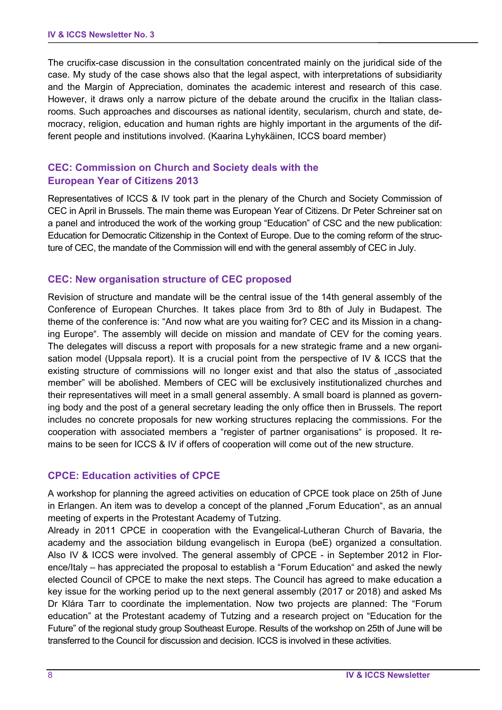The crucifix-case discussion in the consultation concentrated mainly on the juridical side of the case. My study of the case shows also that the legal aspect, with interpretations of subsidiarity and the Margin of Appreciation, dominates the academic interest and research of this case. However, it draws only a narrow picture of the debate around the crucifix in the Italian classrooms. Such approaches and discourses as national identity, secularism, church and state, democracy, religion, education and human rights are highly important in the arguments of the different people and institutions involved. (Kaarina Lyhykäinen, ICCS board member)

## **CEC: Commission on Church and Society deals with the European Year of Citizens 2013**

Representatives of ICCS & IV took part in the plenary of the Church and Society Commission of CEC in April in Brussels. The main theme was European Year of Citizens. Dr Peter Schreiner sat on a panel and introduced the work of the working group "Education" of CSC and the new publication: Education for Democratic Citizenship in the Context of Europe. Due to the coming reform of the structure of CEC, the mandate of the Commission will end with the general assembly of CEC in July.

#### **CEC: New organisation structure of CEC proposed**

Revision of structure and mandate will be the central issue of the 14th general assembly of the Conference of European Churches. It takes place from 3rd to 8th of July in Budapest. The theme of the conference is: "And now what are you waiting for? CEC and its Mission in a changing Europe". The assembly will decide on mission and mandate of CEV for the coming years. The delegates will discuss a report with proposals for a new strategic frame and a new organisation model (Uppsala report). It is a crucial point from the perspective of IV & ICCS that the existing structure of commissions will no longer exist and that also the status of "associated member" will be abolished. Members of CEC will be exclusively institutionalized churches and their representatives will meet in a small general assembly. A small board is planned as governing body and the post of a general secretary leading the only office then in Brussels. The report includes no concrete proposals for new working structures replacing the commissions. For the cooperation with associated members a "register of partner organisations" is proposed. It remains to be seen for ICCS & IV if offers of cooperation will come out of the new structure.

#### **CPCE: Education activities of CPCE**

A workshop for planning the agreed activities on education of CPCE took place on 25th of June in Erlangen. An item was to develop a concept of the planned "Forum Education", as an annual meeting of experts in the Protestant Academy of Tutzing.

Already in 2011 CPCE in cooperation with the Evangelical-Lutheran Church of Bavaria, the academy and the association bildung evangelisch in Europa (beE) organized a consultation. Also IV & ICCS were involved. The general assembly of CPCE - in September 2012 in Florence/Italy – has appreciated the proposal to establish a "Forum Education" and asked the newly elected Council of CPCE to make the next steps. The Council has agreed to make education a key issue for the working period up to the next general assembly (2017 or 2018) and asked Ms Dr Klára Tarr to coordinate the implementation. Now two projects are planned: The "Forum education" at the Protestant academy of Tutzing and a research project on "Education for the Future" of the regional study group Southeast Europe. Results of the workshop on 25th of June will be transferred to the Council for discussion and decision. ICCS is involved in these activities.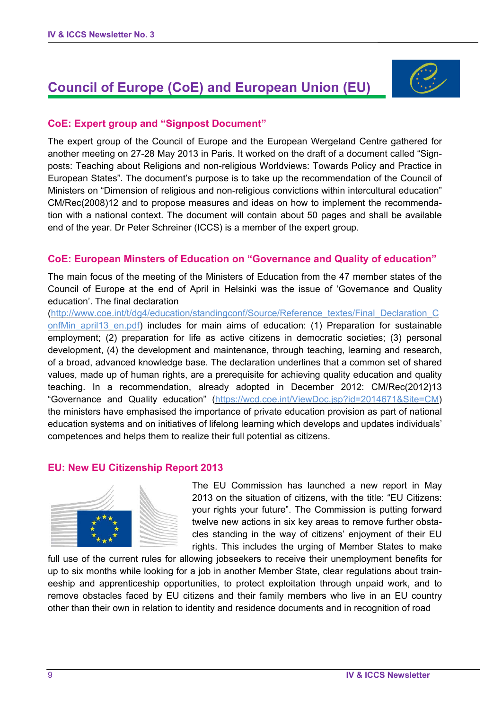# **Council of Europe (CoE) and European Union (EU)**



#### **CoE: Expert group and "Signpost Document"**

The expert group of the Council of Europe and the European Wergeland Centre gathered for another meeting on 27-28 May 2013 in Paris. It worked on the draft of a document called "Signposts: Teaching about Religions and non-religious Worldviews: Towards Policy and Practice in European States". The document's purpose is to take up the recommendation of the Council of Ministers on "Dimension of religious and non-religious convictions within intercultural education" CM/Rec(2008)12 and to propose measures and ideas on how to implement the recommendation with a national context. The document will contain about 50 pages and shall be available end of the year. Dr Peter Schreiner (ICCS) is a member of the expert group.

#### **CoE: European Minsters of Education on "Governance and Quality of education"**

The main focus of the meeting of the Ministers of Education from the 47 member states of the Council of Europe at the end of April in Helsinki was the issue of 'Governance and Quality education'. The final declaration

(http://www.coe.int/t/dg4/education/standingconf/Source/Reference\_textes/Final\_Declaration\_C onfMin april13 en.pdf) includes for main aims of education: (1) Preparation for sustainable employment; (2) preparation for life as active citizens in democratic societies; (3) personal development, (4) the development and maintenance, through teaching, learning and research, of a broad, advanced knowledge base. The declaration underlines that a common set of shared values, made up of human rights, are a prerequisite for achieving quality education and quality teaching. In a recommendation, already adopted in December 2012: CM/Rec(2012)13 "Governance and Quality education" (https://wcd.coe.int/ViewDoc.jsp?id=2014671&Site=CM) the ministers have emphasised the importance of private education provision as part of national education systems and on initiatives of lifelong learning which develops and updates individuals' competences and helps them to realize their full potential as citizens.

#### **EU: New EU Citizenship Report 2013**



The EU Commission has launched a new report in May 2013 on the situation of citizens, with the title: "EU Citizens: your rights your future". The Commission is putting forward twelve new actions in six key areas to remove further obstacles standing in the way of citizens' enjoyment of their EU rights. This includes the urging of Member States to make

full use of the current rules for allowing jobseekers to receive their unemployment benefits for up to six months while looking for a job in another Member State, clear regulations about traineeship and apprenticeship opportunities, to protect exploitation through unpaid work, and to remove obstacles faced by EU citizens and their family members who live in an EU country other than their own in relation to identity and residence documents and in recognition of road